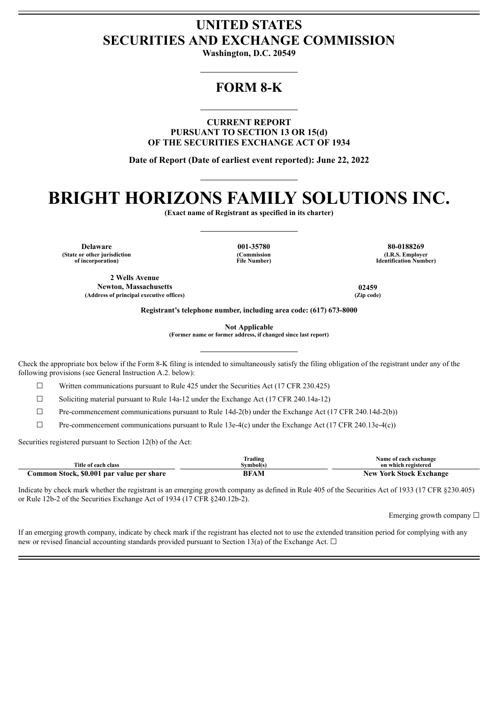## **UNITED STATES SECURITIES AND EXCHANGE COMMISSION**

**Washington, D.C. 20549**

## **FORM 8-K**

**CURRENT REPORT PURSUANT TO SECTION 13 OR 15(d) OF THE SECURITIES EXCHANGE ACT OF 1934**

**Date of Report (Date of earliest event reported): June 22, 2022**

# **BRIGHT HORIZONS FAMILY SOLUTIONS INC.**

**(Exact name of Registrant as specified in its charter)**

**(State or other jurisdiction of incorporation)**

**(Commission File Number)**

**Delaware 001-35780 80-0188269 (I.R.S. Employer Identification Number)**

**2 Wells Avenue Newton, Massachusetts 02459 (Address of principal executive offices) (Zip code)**

**Registrant's telephone number, including area code: (617) 673-8000**

**Not Applicable**

**(Former name or former address, if changed since last report)**

Check the appropriate box below if the Form 8-K filing is intended to simultaneously satisfy the filing obligation of the registrant under any of the following provisions (see General Instruction A.2. below):

☐ Written communications pursuant to Rule 425 under the Securities Act (17 CFR 230.425)

☐ Soliciting material pursuant to Rule 14a-12 under the Exchange Act (17 CFR 240.14a-12)

 $\Box$  Pre-commencement communications pursuant to Rule 14d-2(b) under the Exchange Act (17 CFR 240.14d-2(b))

 $\Box$  Pre-commencement communications pursuant to Rule 13e-4(c) under the Exchange Act (17 CFR 240.13e-4(c))

Securities registered pursuant to Section 12(b) of the Act:

|                                           | Frading   | Name of each exchange          |
|-------------------------------------------|-----------|--------------------------------|
| Title of each class                       | Symbol(s) | on which registered            |
| Common Stock, \$0.001 par value per share | BFAM      | <b>New York Stock Exchange</b> |

Indicate by check mark whether the registrant is an emerging growth company as defined in Rule 405 of the Securities Act of 1933 (17 CFR §230.405) or Rule 12b-2 of the Securities Exchange Act of 1934 (17 CFR §240.12b-2).

Emerging growth company  $\Box$ 

If an emerging growth company, indicate by check mark if the registrant has elected not to use the extended transition period for complying with any new or revised financial accounting standards provided pursuant to Section 13(a) of the Exchange Act.  $\Box$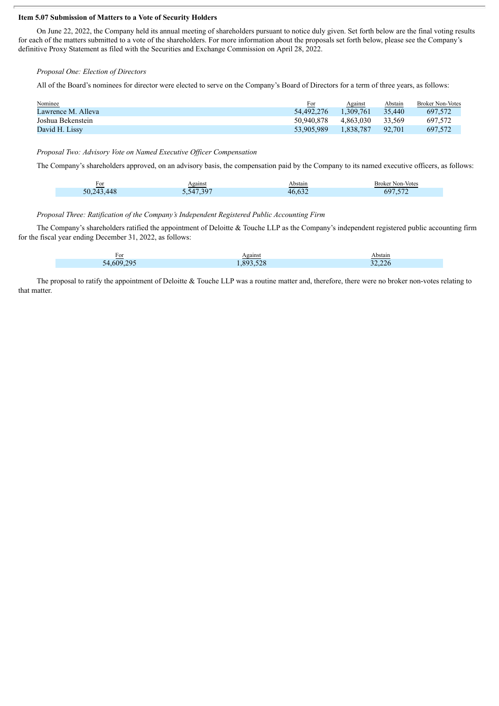#### **Item 5.07 Submission of Matters to a Vote of Security Holders**

On June 22, 2022, the Company held its annual meeting of shareholders pursuant to notice duly given. Set forth below are the final voting results for each of the matters submitted to a vote of the shareholders. For more information about the proposals set forth below, please see the Company's definitive Proxy Statement as filed with the Securities and Exchange Commission on April 28, 2022.

*Proposal One: Election of Directors*

All of the Board's nominees for director were elected to serve on the Company's Board of Directors for a term of three years, as follows:

| Nominee            | <u>For</u> | Against   | Abstain | <b>Broker Non-Votes</b> |
|--------------------|------------|-----------|---------|-------------------------|
| Lawrence M. Alleva | 54.492.276 | 1.309.761 | 35,440  | 697.572                 |
| Joshua Bekenstein  | 50.940.878 | 4.863.030 | 33.569  | 697.572                 |
| David H. Lissy     | 53.905.989 | 1.838.787 | 92.701  | 697.572                 |

*Proposal Two: Advisory Vote on Named Executive Of icer Compensation*

The Company's shareholders approved, on an advisory basis, the compensation paid by the Company to its named executive officers, as follows:

| For                                        | <b>\gainst</b><br>-----         | ∖bstain          | Broker Non-Votes                  |
|--------------------------------------------|---------------------------------|------------------|-----------------------------------|
| $\overline{AB}$<br>$\Delta \Lambda$<br>50. | 2.547.207<br>$\Delta$<br>.<br>. | $\sqrt{2}$<br>46 | $\sim$ $\sim$ $\sim$ $\sim$<br>nч |

#### *Proposal Three: Ratification of the Company's Independent Registered Public Accounting Firm*

The Company's shareholders ratified the appointment of Deloitte & Touche LLP as the Company's independent registered public accounting firm for the fiscal year ending December 31, 2022, as follows:

| For      | Against<br> | Abstain |
|----------|-------------|---------|
| 54609295 | 893528      | 32.226  |

The proposal to ratify the appointment of Deloitte & Touche LLP was a routine matter and, therefore, there were no broker non-votes relating to that matter.